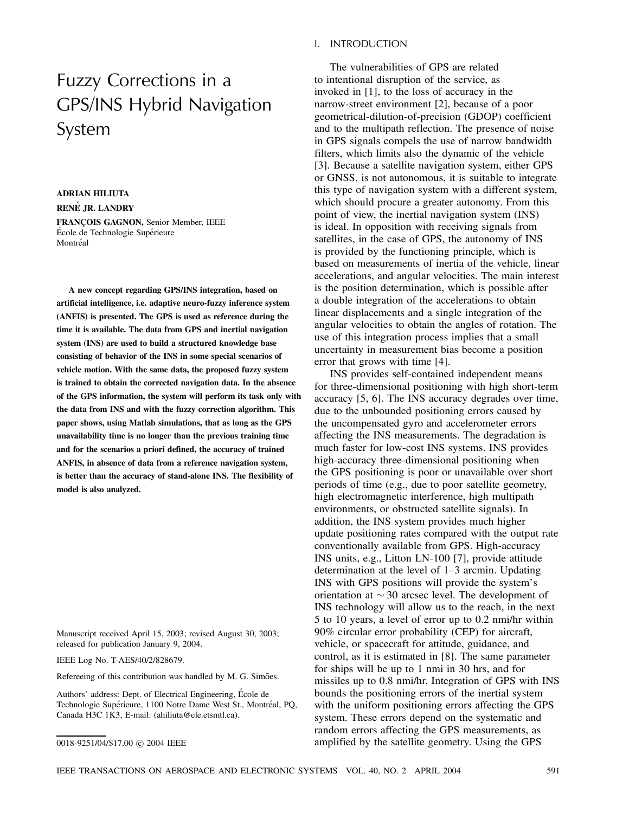# Fuzzy Corrections in a GPS/INS Hybrid Navigation System

## **ADRIAN HILIUTA**

**REN ´ E JR. LANDRY**

**FRANCOIS GAGNON, Senior Member, IEEE** École de Technologie Supérieure Montréal

**A new concept regarding GPS/INS integration, based on artificial intelligence, i.e. adaptive neuro-fuzzy inference system (ANFIS) is presented. The GPS is used as reference during the time it is available. The data from GPS and inertial navigation system (INS) are used to build a structured knowledge base consisting of behavior of the INS in some special scenarios of vehicle motion. With the same data, the proposed fuzzy system is trained to obtain the corrected navigation data. In the absence of the GPS information, the system will perform its task only with the data from INS and with the fuzzy correction algorithm. This paper shows, using Matlab simulations, that as long as the GPS unavailability time is no longer than the previous training time and for the scenarios a priori defined, the accuracy of trained ANFIS, in absence of data from a reference navigation system, is better than the accuracy of stand-alone INS. The flexibility of model is also analyzed.**

Manuscript received April 15, 2003; revised August 30, 2003; released for publication January 9, 2004.

IEEE Log No. T-AES/40/2/828679.

Refereeing of this contribution was handled by M. G. Simoes.

Authors' address: Dept. of Electrical Engineering, École de Technologie Supérieure, 1100 Notre Dame West St., Montréal, PQ, Canada H3C 1K3, E-mail: (ahiliuta@ele.etsmtl.ca).

## I. INTRODUCTION

The vulnerabilities of GPS are related to intentional disruption of the service, as invoked in [1], to the loss of accuracy in the narrow-street environment [2], because of a poor geometrical-dilution-of-precision (GDOP) coefficient and to the multipath reflection. The presence of noise in GPS signals compels the use of narrow bandwidth filters, which limits also the dynamic of the vehicle [3]. Because a satellite navigation system, either GPS or GNSS, is not autonomous, it is suitable to integrate this type of navigation system with a different system, which should procure a greater autonomy. From this point of view, the inertial navigation system (INS) is ideal. In opposition with receiving signals from satellites, in the case of GPS, the autonomy of INS is provided by the functioning principle, which is based on measurements of inertia of the vehicle, linear accelerations, and angular velocities. The main interest is the position determination, which is possible after a double integration of the accelerations to obtain linear displacements and a single integration of the angular velocities to obtain the angles of rotation. The use of this integration process implies that a small uncertainty in measurement bias become a position error that grows with time [4].

INS provides self-contained independent means for three-dimensional positioning with high short-term accuracy [5, 6]. The INS accuracy degrades over time, due to the unbounded positioning errors caused by the uncompensated gyro and accelerometer errors affecting the INS measurements. The degradation is much faster for low-cost INS systems. INS provides high-accuracy three-dimensional positioning when the GPS positioning is poor or unavailable over short periods of time (e.g., due to poor satellite geometry, high electromagnetic interference, high multipath environments, or obstructed satellite signals). In addition, the INS system provides much higher update positioning rates compared with the output rate conventionally available from GPS. High-accuracy INS units, e.g., Litton LN-100 [7], provide attitude determination at the level of 1–3 arcmin. Updating INS with GPS positions will provide the system's orientation at  $\sim$  30 arcsec level. The development of INS technology will allow us to the reach, in the next 5 to 10 years, a level of error up to 0.2 nmi/hr within 90% circular error probability (CEP) for aircraft, vehicle, or spacecraft for attitude, guidance, and control, as it is estimated in [8]. The same parameter for ships will be up to 1 nmi in 30 hrs, and for missiles up to 0.8 nmi/hr. Integration of GPS with INS bounds the positioning errors of the inertial system with the uniform positioning errors affecting the GPS system. These errors depend on the systematic and random errors affecting the GPS measurements, as amplified by the satellite geometry. Using the GPS

<sup>0018-9251/04/\$17.00</sup> C 2004 IEEE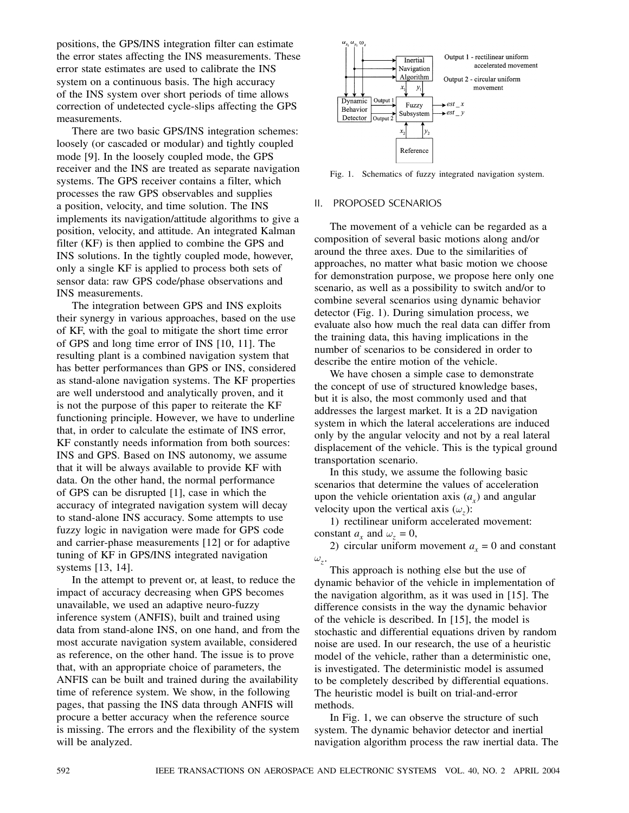positions, the GPS/INS integration filter can estimate the error states affecting the INS measurements. These error state estimates are used to calibrate the INS system on a continuous basis. The high accuracy of the INS system over short periods of time allows correction of undetected cycle-slips affecting the GPS measurements.

There are two basic GPS/INS integration schemes: loosely (or cascaded or modular) and tightly coupled mode [9]. In the loosely coupled mode, the GPS receiver and the INS are treated as separate navigation systems. The GPS receiver contains a filter, which processes the raw GPS observables and supplies a position, velocity, and time solution. The INS implements its navigation/attitude algorithms to give a position, velocity, and attitude. An integrated Kalman filter (KF) is then applied to combine the GPS and INS solutions. In the tightly coupled mode, however, only a single KF is applied to process both sets of sensor data: raw GPS code/phase observations and INS measurements.

The integration between GPS and INS exploits their synergy in various approaches, based on the use of KF, with the goal to mitigate the short time error of GPS and long time error of INS [10, 11]. The resulting plant is a combined navigation system that has better performances than GPS or INS, considered as stand-alone navigation systems. The KF properties are well understood and analytically proven, and it is not the purpose of this paper to reiterate the KF functioning principle. However, we have to underline that, in order to calculate the estimate of INS error, KF constantly needs information from both sources: INS and GPS. Based on INS autonomy, we assume that it will be always available to provide KF with data. On the other hand, the normal performance of GPS can be disrupted [1], case in which the accuracy of integrated navigation system will decay to stand-alone INS accuracy. Some attempts to use fuzzy logic in navigation were made for GPS code and carrier-phase measurements [12] or for adaptive tuning of KF in GPS/INS integrated navigation systems [13, 14].

In the attempt to prevent or, at least, to reduce the impact of accuracy decreasing when GPS becomes unavailable, we used an adaptive neuro-fuzzy inference system (ANFIS), built and trained using data from stand-alone INS, on one hand, and from the most accurate navigation system available, considered as reference, on the other hand. The issue is to prove that, with an appropriate choice of parameters, the ANFIS can be built and trained during the availability time of reference system. We show, in the following pages, that passing the INS data through ANFIS will procure a better accuracy when the reference source is missing. The errors and the flexibility of the system will be analyzed.



Fig. 1. Schematics of fuzzy integrated navigation system.

## II. PROPOSED SCENARIOS

The movement of a vehicle can be regarded as a composition of several basic motions along and/or around the three axes. Due to the similarities of approaches, no matter what basic motion we choose for demonstration purpose, we propose here only one scenario, as well as a possibility to switch and/or to combine several scenarios using dynamic behavior detector (Fig. 1). During simulation process, we evaluate also how much the real data can differ from the training data, this having implications in the number of scenarios to be considered in order to describe the entire motion of the vehicle.

We have chosen a simple case to demonstrate the concept of use of structured knowledge bases, but it is also, the most commonly used and that addresses the largest market. It is a 2D navigation system in which the lateral accelerations are induced only by the angular velocity and not by a real lateral displacement of the vehicle. This is the typical ground transportation scenario.

In this study, we assume the following basic scenarios that determine the values of acceleration upon the vehicle orientation axis  $(a<sub>r</sub>)$  and angular velocity upon the vertical axis  $(\omega_z)$ :

1) rectilinear uniform accelerated movement: constant  $a_x$  and  $\omega_z = 0$ ,

2) circular uniform movement  $a_x = 0$  and constant  $\omega_z.$ 

This approach is nothing else but the use of dynamic behavior of the vehicle in implementation of the navigation algorithm, as it was used in [15]. The difference consists in the way the dynamic behavior of the vehicle is described. In [15], the model is stochastic and differential equations driven by random noise are used. In our research, the use of a heuristic model of the vehicle, rather than a deterministic one, is investigated. The deterministic model is assumed to be completely described by differential equations. The heuristic model is built on trial-and-error methods.

In Fig. 1, we can observe the structure of such system. The dynamic behavior detector and inertial navigation algorithm process the raw inertial data. The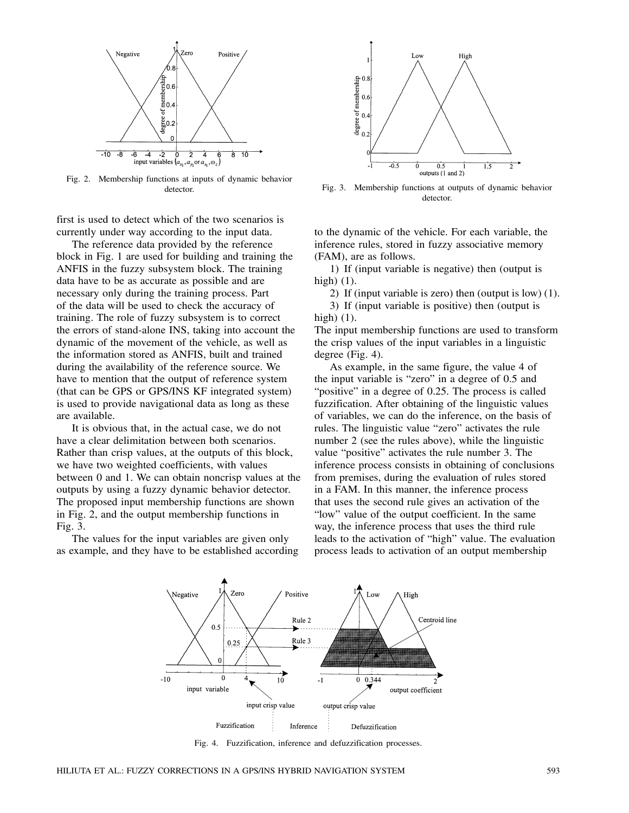

Fig. 2. Membership functions at inputs of dynamic behavior detector.



Fig. 3. Membership functions at outputs of dynamic behavior detector.

first is used to detect which of the two scenarios is currently under way according to the input data.

The reference data provided by the reference block in Fig. 1 are used for building and training the ANFIS in the fuzzy subsystem block. The training data have to be as accurate as possible and are necessary only during the training process. Part of the data will be used to check the accuracy of training. The role of fuzzy subsystem is to correct the errors of stand-alone INS, taking into account the dynamic of the movement of the vehicle, as well as the information stored as ANFIS, built and trained during the availability of the reference source. We have to mention that the output of reference system (that can be GPS or GPS/INS KF integrated system) is used to provide navigational data as long as these are available.

It is obvious that, in the actual case, we do not have a clear delimitation between both scenarios. Rather than crisp values, at the outputs of this block, we have two weighted coefficients, with values between 0 and 1. We can obtain noncrisp values at the outputs by using a fuzzy dynamic behavior detector. The proposed input membership functions are shown in Fig. 2, and the output membership functions in Fig. 3.

The values for the input variables are given only as example, and they have to be established according to the dynamic of the vehicle. For each variable, the inference rules, stored in fuzzy associative memory (FAM), are as follows.

1) If (input variable is negative) then (output is high) (1).

2) If (input variable is zero) then (output is low) (1).

3) If (input variable is positive) then (output is high) (1).

The input membership functions are used to transform the crisp values of the input variables in a linguistic degree (Fig. 4).

As example, in the same figure, the value 4 of the input variable is "zero" in a degree of 0.5 and "positive" in a degree of 0.25. The process is called fuzzification. After obtaining of the linguistic values of variables, we can do the inference, on the basis of rules. The linguistic value "zero" activates the rule number 2 (see the rules above), while the linguistic value "positive" activates the rule number 3. The inference process consists in obtaining of conclusions from premises, during the evaluation of rules stored in a FAM. In this manner, the inference process that uses the second rule gives an activation of the "low" value of the output coefficient. In the same way, the inference process that uses the third rule leads to the activation of "high" value. The evaluation process leads to activation of an output membership



Fig. 4. Fuzzification, inference and defuzzification processes.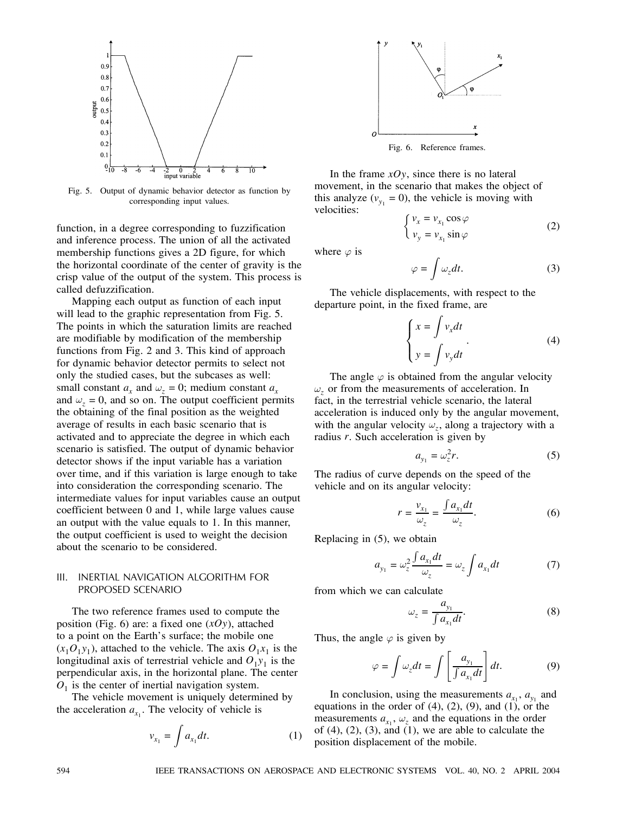

Fig. 5. Output of dynamic behavior detector as function by corresponding input values.

function, in a degree corresponding to fuzzification and inference process. The union of all the activated membership functions gives a 2D figure, for which the horizontal coordinate of the center of gravity is the crisp value of the output of the system. This process is called defuzzification.

Mapping each output as function of each input will lead to the graphic representation from Fig. 5. The points in which the saturation limits are reached are modifiable by modification of the membership functions from Fig. 2 and 3. This kind of approach for dynamic behavior detector permits to select not only the studied cases, but the subcases as well: small constant  $a_x$  and  $\omega_z = 0$ ; medium constant  $a_x$ and  $\omega_z = 0$ , and so on. The output coefficient permits the obtaining of the final position as the weighted average of results in each basic scenario that is activated and to appreciate the degree in which each scenario is satisfied. The output of dynamic behavior detector shows if the input variable has a variation over time, and if this variation is large enough to take into consideration the corresponding scenario. The intermediate values for input variables cause an output coefficient between 0 and 1, while large values cause an output with the value equals to 1. In this manner, the output coefficient is used to weight the decision about the scenario to be considered.

## III. INERTIAL NAVIGATION ALGORITHM FOR PROPOSED SCENARIO

The two reference frames used to compute the position (Fig. 6) are: a fixed one  $(xOy)$ , attached to a point on the Earth's surface; the mobile one  $(x_1O_1y_1)$ , attached to the vehicle. The axis  $O_1x_1$  is the longitudinal axis of terrestrial vehicle and  $O_1y_1$  is the perpendicular axis, in the horizontal plane. The center  $O<sub>1</sub>$  is the center of inertial navigation system.

The vehicle movement is uniquely determined by the acceleration  $a_{x_1}$ . The velocity of vehicle is

$$
v_{x_1} = \int a_{x_1} dt. \tag{1}
$$



Fig. 6. Reference frames.

In the frame  $xOy$ , since there is no lateral movement, in the scenario that makes the object of this analyze ( $v_{v_1} = 0$ ), the vehicle is moving with velocities:

$$
\begin{cases} v_x = v_{x_1} \cos \varphi \\ v_y = v_{x_1} \sin \varphi \end{cases}
$$
 (2)

where  $\varphi$  is

$$
\varphi = \int \omega_z dt. \tag{3}
$$

The vehicle displacements, with respect to the departure point, in the fixed frame, are

$$
\begin{cases}\nx = \int v_x dt \\
y = \int v_y dt\n\end{cases} \tag{4}
$$

The angle  $\varphi$  is obtained from the angular velocity  $\omega_z$  or from the measurements of acceleration. In fact, in the terrestrial vehicle scenario, the lateral acceleration is induced only by the angular movement, with the angular velocity  $\omega_z$ , along a trajectory with a radius  $r$ . Such acceleration is given by

$$
a_{y_1} = \omega_z^2 r. \tag{5}
$$

The radius of curve depends on the speed of the vehicle and on its angular velocity:

$$
r = \frac{v_{x_1}}{\omega_z} = \frac{\int a_{x_1} dt}{\omega_z}.
$$
 (6)

Replacing in (5), we obtain

$$
a_{y_1} = \omega_z^2 \frac{\int a_{x_1} dt}{\omega_z} = \omega_z \int a_{x_1} dt \tag{7}
$$

from which we can calculate

$$
\omega_z = \frac{a_{y_1}}{\int a_{x_1} dt}.\tag{8}
$$

Thus, the angle  $\varphi$  is given by

$$
\varphi = \int \omega_z dt = \int \left[ \frac{a_{y_1}}{\int a_{x_1} dt} \right] dt.
$$
 (9)

In conclusion, using the measurements  $a_{x_1}$ ,  $a_{y_1}$  and equations in the order of  $(4)$ ,  $(2)$ ,  $(9)$ , and  $(1)$ , or the measurements  $a_{x_1}, \omega_z$  and the equations in the order of  $(4)$ ,  $(2)$ ,  $(3)$ , and  $(1)$ , we are able to calculate the position displacement of the mobile.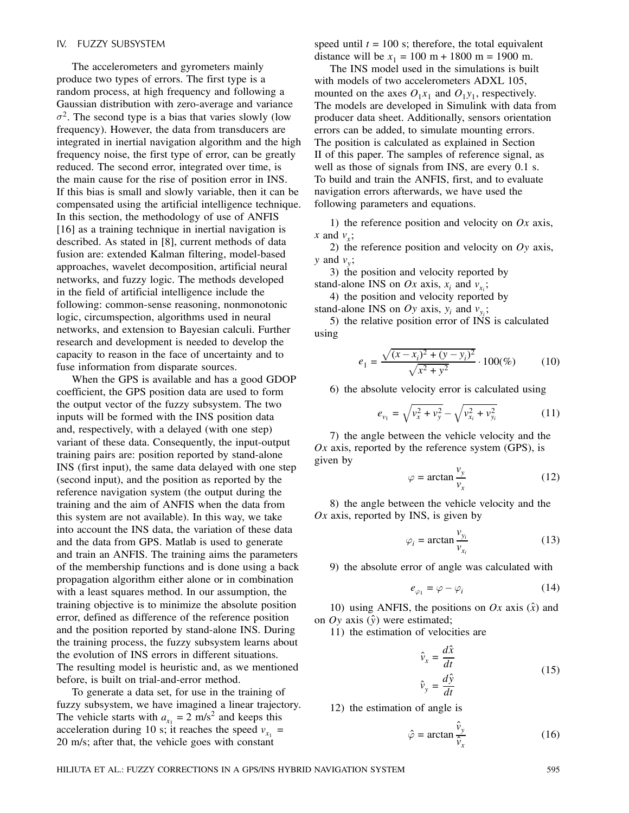#### IV. FUZZY SUBSYSTEM

The accelerometers and gyrometers mainly produce two types of errors. The first type is a random process, at high frequency and following a Gaussian distribution with zero-average and variance  $\sigma^2$ . The second type is a bias that varies slowly (low frequency). However, the data from transducers are integrated in inertial navigation algorithm and the high frequency noise, the first type of error, can be greatly reduced. The second error, integrated over time, is the main cause for the rise of position error in INS. If this bias is small and slowly variable, then it can be compensated using the artificial intelligence technique. In this section, the methodology of use of ANFIS [16] as a training technique in inertial navigation is described. As stated in [8], current methods of data fusion are: extended Kalman filtering, model-based approaches, wavelet decomposition, artificial neural networks, and fuzzy logic. The methods developed in the field of artificial intelligence include the following: common-sense reasoning, nonmonotonic logic, circumspection, algorithms used in neural networks, and extension to Bayesian calculi. Further research and development is needed to develop the capacity to reason in the face of uncertainty and to fuse information from disparate sources.

When the GPS is available and has a good GDOP coefficient, the GPS position data are used to form the output vector of the fuzzy subsystem. The two inputs will be formed with the INS position data and, respectively, with a delayed (with one step) variant of these data. Consequently, the input-output training pairs are: position reported by stand-alone INS (first input), the same data delayed with one step (second input), and the position as reported by the reference navigation system (the output during the training and the aim of ANFIS when the data from this system are not available). In this way, we take into account the INS data, the variation of these data and the data from GPS. Matlab is used to generate and train an ANFIS. The training aims the parameters of the membership functions and is done using a back propagation algorithm either alone or in combination with a least squares method. In our assumption, the training objective is to minimize the absolute position error, defined as difference of the reference position and the position reported by stand-alone INS. During the training process, the fuzzy subsystem learns about the evolution of INS errors in different situations. The resulting model is heuristic and, as we mentioned before, is built on trial-and-error method.

To generate a data set, for use in the training of fuzzy subsystem, we have imagined a linear trajectory. The vehicle starts with  $a_{x_1} = 2 \text{ m/s}^2$  and keeps this acceleration during 10 s; it reaches the speed  $v_{x_1} =$ 20 m/s; after that, the vehicle goes with constant

speed until  $t = 100$  s; therefore, the total equivalent distance will be  $x_1 = 100 \text{ m} + 1800 \text{ m} = 1900 \text{ m}$ .

The INS model used in the simulations is built with models of two accelerometers ADXL 105, mounted on the axes  $O_1x_1$  and  $O_1y_1$ , respectively. The models are developed in Simulink with data from producer data sheet. Additionally, sensors orientation errors can be added, to simulate mounting errors. The position is calculated as explained in Section II of this paper. The samples of reference signal, as well as those of signals from INS, are every 0.1 s. To build and train the ANFIS, first, and to evaluate navigation errors afterwards, we have used the following parameters and equations.

1) the reference position and velocity on  $Ox$  axis, x and  $v_{\nu}$ ;

2) the reference position and velocity on  $Oy$  axis, y and  $v_y$ ;

3) the position and velocity reported by stand-alone INS on *Ox* axis,  $x_i$  and  $v_{x_i}$ ;

4) the position and velocity reported by stand-alone INS on *Oy* axis,  $y_i$  and  $v_{y_i}$ ;

5) the relative position error of INS is calculated using

$$
e_1 = \frac{\sqrt{(x - x_i)^2 + (y - y_i)^2}}{\sqrt{x^2 + y^2}} \cdot 100\%
$$
 (10)

6) the absolute velocity error is calculated using

$$
e_{v_1} = \sqrt{v_x^2 + v_y^2} - \sqrt{v_{x_i}^2 + v_{y_i}^2}
$$
 (11)

7) the angle between the vehicle velocity and the  $Ox$  axis, reported by the reference system (GPS), is given by

$$
\varphi = \arctan \frac{v_y}{v_x} \tag{12}
$$

8) the angle between the vehicle velocity and the  $Ox$  axis, reported by INS, is given by

$$
\varphi_i = \arctan \frac{v_{y_i}}{v_{x_i}} \tag{13}
$$

9) the absolute error of angle was calculated with

$$
e_{\varphi_1} = \varphi - \varphi_i \tag{14}
$$

10) using ANFIS, the positions on  $Ox$  axis  $(\hat{x})$  and on Oy axis  $(\hat{y})$  were estimated;

11) the estimation of velocities are

$$
\hat{v}_x = \frac{d\hat{x}}{dt}
$$
\n
$$
\hat{v}_y = \frac{d\hat{y}}{dt}
$$
\n(15)

12) the estimation of angle is

$$
\hat{\varphi} = \arctan \frac{\hat{v}_y}{\hat{v}_x} \tag{16}
$$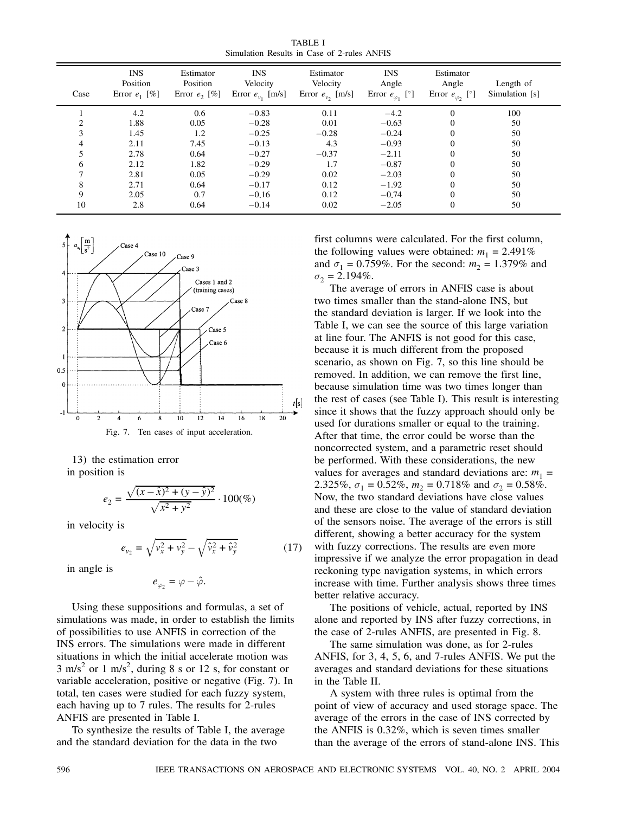TABLE I Simulation Results in Case of 2-rules ANFIS

| Case | <b>INS</b><br>Position<br>Error $e_1$ [%] | Estimator<br>Position<br>Error $e_2$ [%] | <b>INS</b><br>Velocity<br>Error $e_{v_1}$ [m/s] | Estimator<br>Velocity<br>Error $e_{v_2}$ [m/s] | <b>INS</b><br>Angle<br>Error $e_{\varphi_1}$ [°] | Estimator<br>Angle<br>Error $e_{\varphi_2}$ [°] | Length of<br>Simulation [s] |
|------|-------------------------------------------|------------------------------------------|-------------------------------------------------|------------------------------------------------|--------------------------------------------------|-------------------------------------------------|-----------------------------|
|      | 4.2                                       | $0.6^{\circ}$                            | $-0.83$                                         | 0.11                                           | $-4.2$                                           | $\Omega$                                        | 100                         |
|      | 1.88                                      | 0.05                                     | $-0.28$                                         | 0.01                                           | $-0.63$                                          |                                                 | 50                          |
|      | 1.45                                      | 1.2                                      | $-0.25$                                         | $-0.28$                                        | $-0.24$                                          | $\Omega$                                        | 50                          |
|      | 2.11                                      | 7.45                                     | $-0.13$                                         | 4.3                                            | $-0.93$                                          |                                                 | 50                          |
|      | 2.78                                      | 0.64                                     | $-0.27$                                         | $-0.37$                                        | $-2.11$                                          | $\Omega$                                        | 50                          |
|      | 2.12                                      | 1.82                                     | $-0.29$                                         | 1.7                                            | $-0.87$                                          | $\Omega$                                        | 50                          |
|      | 2.81                                      | 0.05                                     | $-0.29$                                         | 0.02                                           | $-2.03$                                          | $\Omega$                                        | 50                          |
| 8    | 2.71                                      | 0.64                                     | $-0.17$                                         | 0.12                                           | $-1.92$                                          | $\Omega$                                        | 50                          |
| 9    | 2.05                                      | 0.7                                      | $-0.16$                                         | 0.12                                           | $-0.74$                                          |                                                 | 50                          |
| 10   | 2.8                                       | 0.64                                     | $-0.14$                                         | 0.02                                           | $-2.05$                                          | $\Omega$                                        | 50                          |



13) the estimation error

in position is

$$
e_2 = \frac{\sqrt{(x - \hat{x})^2 + (y - \hat{y})^2}}{\sqrt{x^2 + y^2}} \cdot 100\%
$$

in velocity is

$$
e_{v_2} = \sqrt{v_x^2 + v_y^2} - \sqrt{\hat{v}_x^2 + \hat{v}_y^2}
$$
 (17)

in angle is

 $e_{\infty} = \varphi - \hat{\varphi}.$ 

Using these suppositions and formulas, a set of simulations was made, in order to establish the limits of possibilities to use ANFIS in correction of the INS errors. The simulations were made in different situations in which the initial accelerate motion was  $3 \text{ m/s}^2$  or  $1 \text{ m/s}^2$ , during  $8 \text{ s}$  or  $12 \text{ s}$ , for constant or variable acceleration, positive or negative (Fig. 7). In total, ten cases were studied for each fuzzy system, each having up to 7 rules. The results for 2-rules ANFIS are presented in Table I.

To synthesize the results of Table I, the average and the standard deviation for the data in the two

first columns were calculated. For the first column, the following values were obtained:  $m_1 = 2.491\%$ and  $\sigma_1 = 0.759\%$ . For the second:  $m_2 = 1.379\%$  and  $\sigma_2 = 2.194\%$ .

The average of errors in ANFIS case is about two times smaller than the stand-alone INS, but the standard deviation is larger. If we look into the Table I, we can see the source of this large variation at line four. The ANFIS is not good for this case, because it is much different from the proposed scenario, as shown on Fig. 7, so this line should be removed. In addition, we can remove the first line, because simulation time was two times longer than the rest of cases (see Table I). This result is interesting since it shows that the fuzzy approach should only be used for durations smaller or equal to the training. After that time, the error could be worse than the noncorrected system, and a parametric reset should be performed. With these considerations, the new values for averages and standard deviations are:  $m_1$  = 2.325%,  $\sigma_1 = 0.52\%$ ,  $m_2 = 0.718\%$  and  $\sigma_2 = 0.58\%$ . Now, the two standard deviations have close values and these are close to the value of standard deviation of the sensors noise. The average of the errors is still different, showing a better accuracy for the system with fuzzy corrections. The results are even more impressive if we analyze the error propagation in dead reckoning type navigation systems, in which errors increase with time. Further analysis shows three times better relative accuracy.

The positions of vehicle, actual, reported by INS alone and reported by INS after fuzzy corrections, in the case of 2-rules ANFIS, are presented in Fig. 8.

The same simulation was done, as for 2-rules ANFIS, for 3, 4, 5, 6, and 7-rules ANFIS. We put the averages and standard deviations for these situations in the Table II.

A system with three rules is optimal from the point of view of accuracy and used storage space. The average of the errors in the case of INS corrected by the ANFIS is 0.32%, which is seven times smaller than the average of the errors of stand-alone INS. This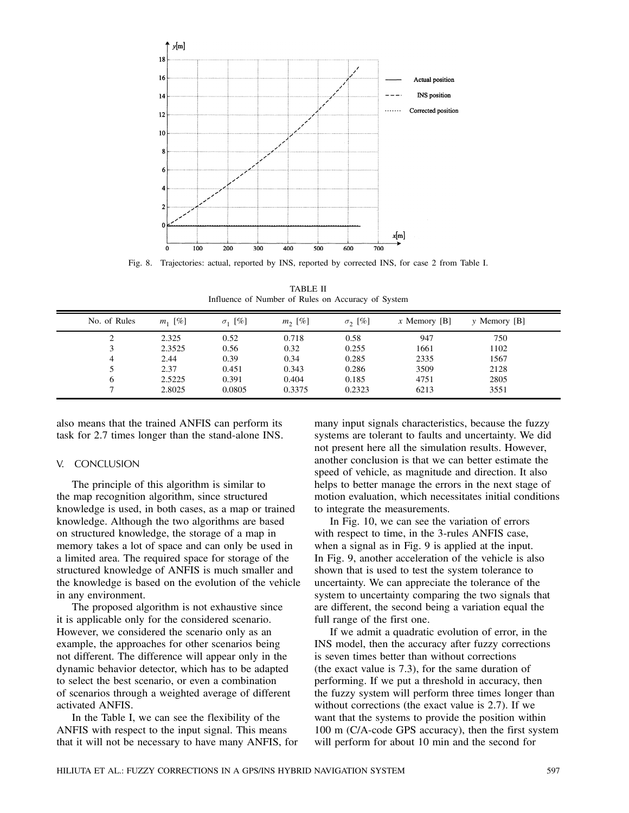

Fig. 8. Trajectories: actual, reported by INS, reported by corrected INS, for case 2 from Table I.

TABLE II Influence of Number of Rules on Accuracy of System

| No. of Rules | $m_1$ [%] | $\sigma_1$ [%] | $m2$ [%] | $\sigma$ <sub>2</sub> [%] | x Memory $[B]$ | $\gamma$ Memory [B] |  |
|--------------|-----------|----------------|----------|---------------------------|----------------|---------------------|--|
|              | 2.325     | 0.52           | 0.718    | 0.58                      | 947            | 750                 |  |
|              | 2.3525    | 0.56           | 0.32     | 0.255                     | 1661           | 1102                |  |
| 4            | 2.44      | 0.39           | 0.34     | 0.285                     | 2335           | 1567                |  |
|              | 2.37      | 0.451          | 0.343    | 0.286                     | 3509           | 2128                |  |
| 6            | 2.5225    | 0.391          | 0.404    | 0.185                     | 4751           | 2805                |  |
| −            | 2.8025    | 0.0805         | 0.3375   | 0.2323                    | 6213           | 3551                |  |

also means that the trained ANFIS can perform its task for 2.7 times longer than the stand-alone INS.

## V. CONCLUSION

The principle of this algorithm is similar to the map recognition algorithm, since structured knowledge is used, in both cases, as a map or trained knowledge. Although the two algorithms are based on structured knowledge, the storage of a map in memory takes a lot of space and can only be used in a limited area. The required space for storage of the structured knowledge of ANFIS is much smaller and the knowledge is based on the evolution of the vehicle in any environment.

The proposed algorithm is not exhaustive since it is applicable only for the considered scenario. However, we considered the scenario only as an example, the approaches for other scenarios being not different. The difference will appear only in the dynamic behavior detector, which has to be adapted to select the best scenario, or even a combination of scenarios through a weighted average of different activated ANFIS.

In the Table I, we can see the flexibility of the ANFIS with respect to the input signal. This means that it will not be necessary to have many ANFIS, for many input signals characteristics, because the fuzzy systems are tolerant to faults and uncertainty. We did not present here all the simulation results. However, another conclusion is that we can better estimate the speed of vehicle, as magnitude and direction. It also helps to better manage the errors in the next stage of motion evaluation, which necessitates initial conditions to integrate the measurements.

In Fig. 10, we can see the variation of errors with respect to time, in the 3-rules ANFIS case, when a signal as in Fig. 9 is applied at the input. In Fig. 9, another acceleration of the vehicle is also shown that is used to test the system tolerance to uncertainty. We can appreciate the tolerance of the system to uncertainty comparing the two signals that are different, the second being a variation equal the full range of the first one.

If we admit a quadratic evolution of error, in the INS model, then the accuracy after fuzzy corrections is seven times better than without corrections (the exact value is 7.3), for the same duration of performing. If we put a threshold in accuracy, then the fuzzy system will perform three times longer than without corrections (the exact value is 2.7). If we want that the systems to provide the position within 100 m (C/A-code GPS accuracy), then the first system will perform for about 10 min and the second for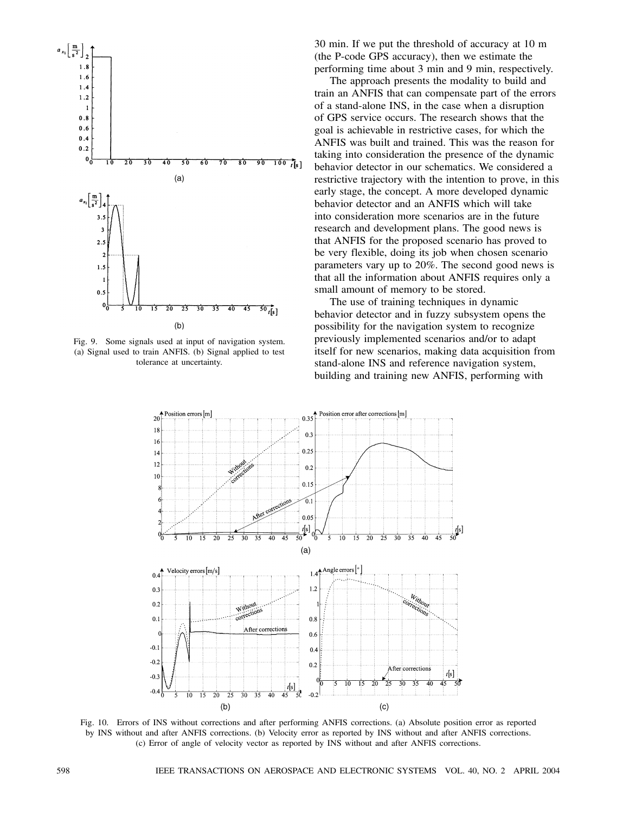

Fig. 9. Some signals used at input of navigation system. (a) Signal used to train ANFIS. (b) Signal applied to test tolerance at uncertainty.

30 min. If we put the threshold of accuracy at 10 m (the P-code GPS accuracy), then we estimate the performing time about 3 min and 9 min, respectively.

The approach presents the modality to build and train an ANFIS that can compensate part of the errors of a stand-alone INS, in the case when a disruption of GPS service occurs. The research shows that the goal is achievable in restrictive cases, for which the ANFIS was built and trained. This was the reason for taking into consideration the presence of the dynamic behavior detector in our schematics. We considered a restrictive trajectory with the intention to prove, in this early stage, the concept. A more developed dynamic behavior detector and an ANFIS which will take into consideration more scenarios are in the future research and development plans. The good news is that ANFIS for the proposed scenario has proved to be very flexible, doing its job when chosen scenario parameters vary up to 20%. The second good news is that all the information about ANFIS requires only a small amount of memory to be stored.

The use of training techniques in dynamic behavior detector and in fuzzy subsystem opens the possibility for the navigation system to recognize previously implemented scenarios and/or to adapt itself for new scenarios, making data acquisition from stand-alone INS and reference navigation system, building and training new ANFIS, performing with



Fig. 10. Errors of INS without corrections and after performing ANFIS corrections. (a) Absolute position error as reported by INS without and after ANFIS corrections. (b) Velocity error as reported by INS without and after ANFIS corrections. (c) Error of angle of velocity vector as reported by INS without and after ANFIS corrections.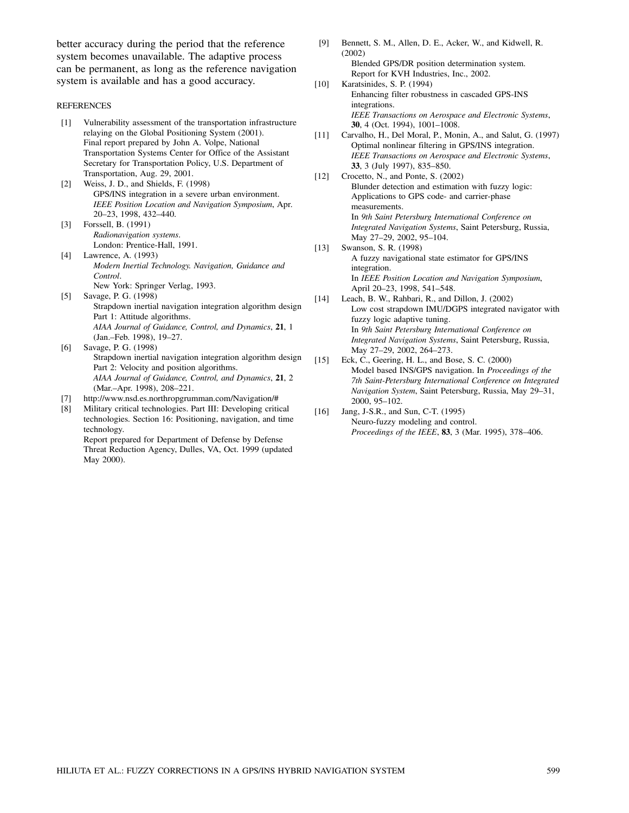better accuracy during the period that the reference system becomes unavailable. The adaptive process can be permanent, as long as the reference navigation system is available and has a good accuracy.

#### **REFERENCES**

- [1] Vulnerability assessment of the transportation infrastructure relaying on the Global Positioning System (2001). Final report prepared by John A. Volpe, National Transportation Systems Center for Office of the Assistant Secretary for Transportation Policy, U.S. Department of Transportation, Aug. 29, 2001.
- [2] Weiss, J. D., and Shields, F. (1998) GPS/INS integration in a severe urban environment. *IEEE Position Location and Navigation Symposium*, Apr. 20–23, 1998, 432–440.
- [3] Forssell, B. (1991) *Radionavigation systems*. London: Prentice-Hall, 1991.
- [4] Lawrence, A. (1993) *Modern Inertial Technology. Navigation, Guidance and Control*.
- New York: Springer Verlag, 1993. [5] Savage, P. G. (1998) Strapdown inertial navigation integration algorithm design Part 1: Attitude algorithms. *AIAA Journal of Guidance, Control, and Dynamics*, **21**, 1
- (Jan.–Feb. 1998), 19–27. [6] Savage, P. G. (1998)
- Strapdown inertial navigation integration algorithm design Part 2: Velocity and position algorithms. *AIAA Journal of Guidance, Control, and Dynamics*, **21**, 2 (Mar.–Apr. 1998), 208–221.
- [7] http://www.nsd.es.northropgrumman.com/Navigation/#
- [8] Military critical technologies. Part III: Developing critical technologies. Section 16: Positioning, navigation, and time technology.

Report prepared for Department of Defense by Defense Threat Reduction Agency, Dulles, VA, Oct. 1999 (updated May 2000).

- [9] Bennett, S. M., Allen, D. E., Acker, W., and Kidwell, R. (2002) Blended GPS/DR position determination system. Report for KVH Industries, Inc., 2002.
- [10] Karatsinides, S. P. (1994) Enhancing filter robustness in cascaded GPS-INS integrations. *IEEE Transactions on Aerospace and Electronic Systems*, **30**, 4 (Oct. 1994), 1001–1008.
- [11] Carvalho, H., Del Moral, P., Monin, A., and Salut, G. (1997) Optimal nonlinear filtering in GPS/INS integration. *IEEE Transactions on Aerospace and Electronic Systems*, **33**, 3 (July 1997), 835–850.
- [12] Crocetto, N., and Ponte, S. (2002) Blunder detection and estimation with fuzzy logic: Applications to GPS code- and carrier-phase measurements. In *9th Saint Petersburg International Conference on Integrated Navigation Systems*, Saint Petersburg, Russia, May 27–29, 2002, 95–104. [13] Swanson, S. R. (1998)
- A fuzzy navigational state estimator for GPS/INS integration. In *IEEE Position Location and Navigation Symposium*, April 20–23, 1998, 541–548.
- [14] Leach, B. W., Rahbari, R., and Dillon, J. (2002) Low cost strapdown IMU/DGPS integrated navigator with fuzzy logic adaptive tuning. In *9th Saint Petersburg International Conference on Integrated Navigation Systems*, Saint Petersburg, Russia, May 27–29, 2002, 264–273.
- [15] Eck, C., Geering, H. L., and Bose, S. C. (2000) Model based INS/GPS navigation. In *Proceedings of the 7th Saint-Petersburg International Conference on Integrated Navigation System*, Saint Petersburg, Russia, May 29–31, 2000, 95–102.
- [16] Jang, J-S.R., and Sun, C-T. (1995) Neuro-fuzzy modeling and control. *Proceedings of the IEEE*, **83**, 3 (Mar. 1995), 378–406.